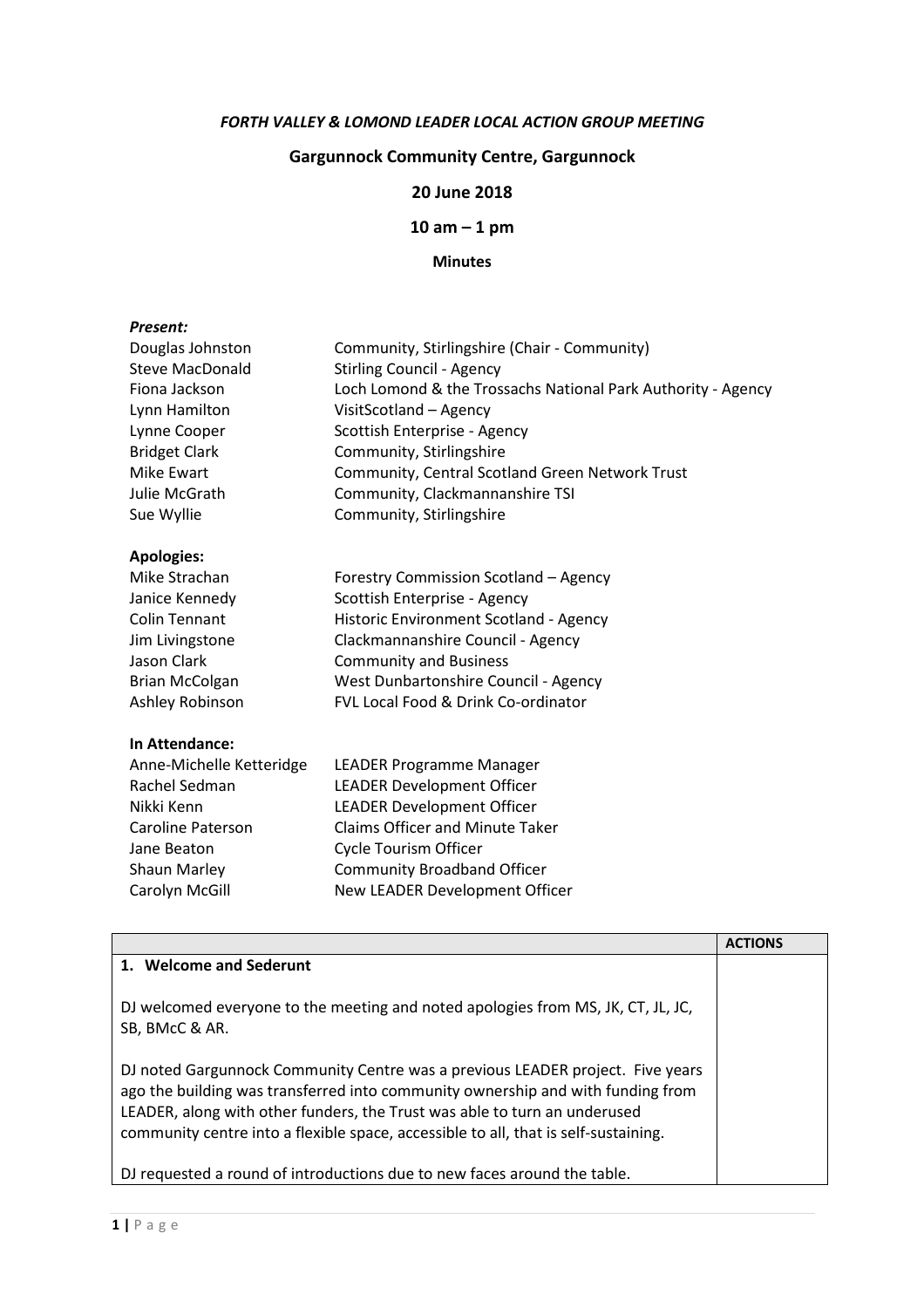#### FORTH VALLEY & LOMOND LEADER LOCAL ACTION GROUP MEETING

# Gargunnock Community Centre, Gargunnock

## 20 June 2018

 $10$  am  $-1$  pm

### Minutes

#### Present:

| Douglas Johnston       | Community, Stirlingshire (Chair - Community)                 |
|------------------------|--------------------------------------------------------------|
| <b>Steve MacDonald</b> | <b>Stirling Council - Agency</b>                             |
| Fiona Jackson          | Loch Lomond & the Trossachs National Park Authority - Agency |
| Lynn Hamilton          | VisitScotland - Agency                                       |
| Lynne Cooper           | Scottish Enterprise - Agency                                 |
| <b>Bridget Clark</b>   | Community, Stirlingshire                                     |
| Mike Ewart             | Community, Central Scotland Green Network Trust              |
| Julie McGrath          | Community, Clackmannanshire TSI                              |
| Sue Wyllie             | Community, Stirlingshire                                     |

# Apologies:

| Mike Strachan         | Forestry Commission Scotland - Agency  |
|-----------------------|----------------------------------------|
| Janice Kennedy        | Scottish Enterprise - Agency           |
| Colin Tennant         | Historic Environment Scotland - Agency |
| Jim Livingstone       | Clackmannanshire Council - Agency      |
| Jason Clark           | <b>Community and Business</b>          |
| <b>Brian McColgan</b> | West Dunbartonshire Council - Agency   |
| Ashley Robinson       | FVL Local Food & Drink Co-ordinator    |
|                       |                                        |

#### In Attendance:

| <b>LEADER Programme Manager</b>        |
|----------------------------------------|
| <b>LEADER Development Officer</b>      |
| <b>LEADER Development Officer</b>      |
| <b>Claims Officer and Minute Taker</b> |
| <b>Cycle Tourism Officer</b>           |
| <b>Community Broadband Officer</b>     |
| New LEADER Development Officer         |
|                                        |

|                                                                                                                                                                                                                                                                                                                                       | <b>ACTIONS</b> |
|---------------------------------------------------------------------------------------------------------------------------------------------------------------------------------------------------------------------------------------------------------------------------------------------------------------------------------------|----------------|
| 1. Welcome and Sederunt                                                                                                                                                                                                                                                                                                               |                |
| DJ welcomed everyone to the meeting and noted apologies from MS, JK, CT, JL, JC,<br>SB, BMcC & AR.                                                                                                                                                                                                                                    |                |
| DJ noted Gargunnock Community Centre was a previous LEADER project. Five years<br>ago the building was transferred into community ownership and with funding from<br>LEADER, along with other funders, the Trust was able to turn an underused<br>community centre into a flexible space, accessible to all, that is self-sustaining. |                |
| DJ requested a round of introductions due to new faces around the table.                                                                                                                                                                                                                                                              |                |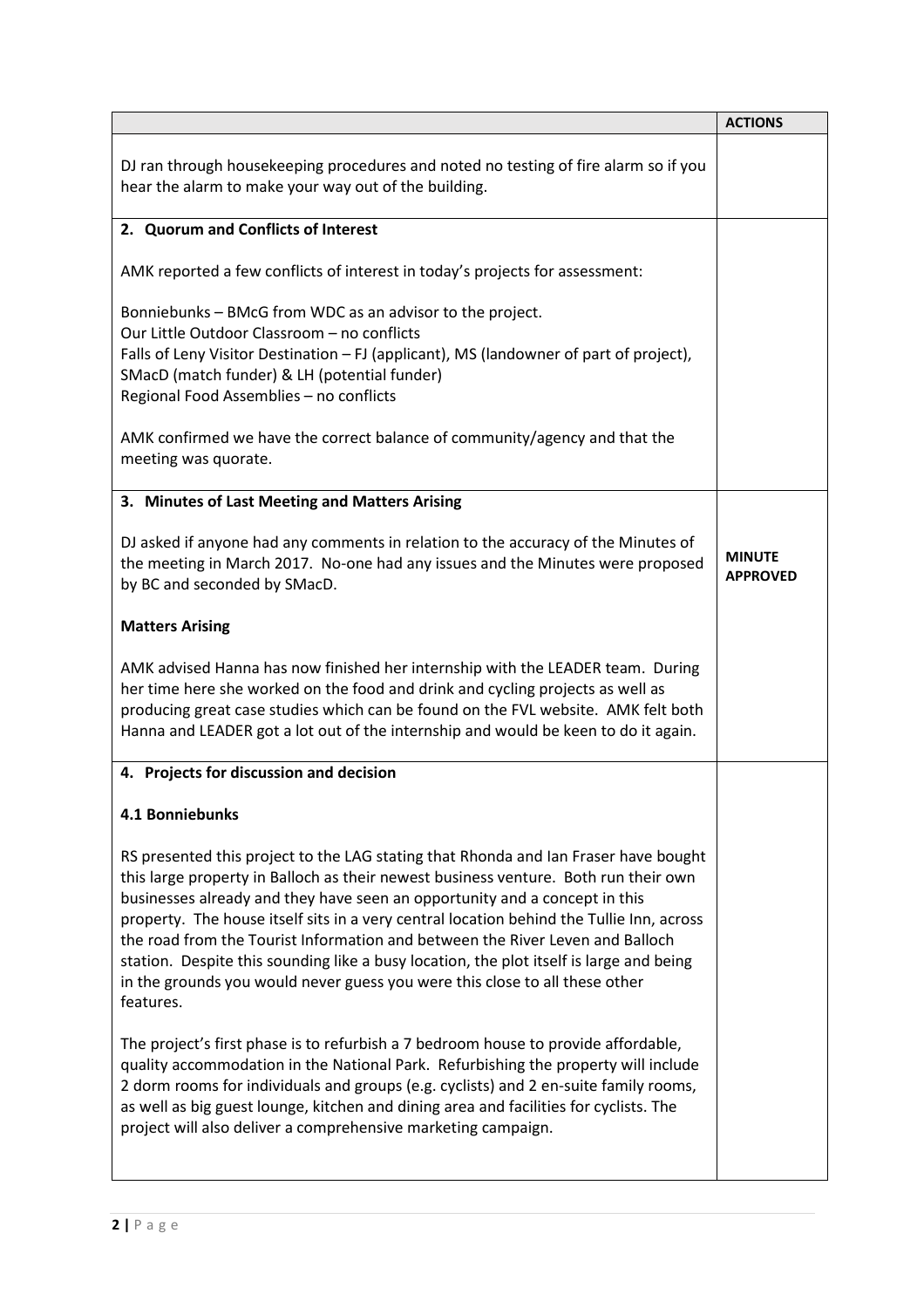|                                                                                                                                                                                                                                                                                                                                                                                                                                                                                                                                                                                                                              | <b>ACTIONS</b>                   |
|------------------------------------------------------------------------------------------------------------------------------------------------------------------------------------------------------------------------------------------------------------------------------------------------------------------------------------------------------------------------------------------------------------------------------------------------------------------------------------------------------------------------------------------------------------------------------------------------------------------------------|----------------------------------|
| DJ ran through housekeeping procedures and noted no testing of fire alarm so if you<br>hear the alarm to make your way out of the building.                                                                                                                                                                                                                                                                                                                                                                                                                                                                                  |                                  |
| 2. Quorum and Conflicts of Interest                                                                                                                                                                                                                                                                                                                                                                                                                                                                                                                                                                                          |                                  |
| AMK reported a few conflicts of interest in today's projects for assessment:                                                                                                                                                                                                                                                                                                                                                                                                                                                                                                                                                 |                                  |
| Bonniebunks - BMcG from WDC as an advisor to the project.<br>Our Little Outdoor Classroom - no conflicts<br>Falls of Leny Visitor Destination - FJ (applicant), MS (landowner of part of project),<br>SMacD (match funder) & LH (potential funder)<br>Regional Food Assemblies - no conflicts                                                                                                                                                                                                                                                                                                                                |                                  |
| AMK confirmed we have the correct balance of community/agency and that the<br>meeting was quorate.                                                                                                                                                                                                                                                                                                                                                                                                                                                                                                                           |                                  |
| 3. Minutes of Last Meeting and Matters Arising                                                                                                                                                                                                                                                                                                                                                                                                                                                                                                                                                                               |                                  |
| DJ asked if anyone had any comments in relation to the accuracy of the Minutes of<br>the meeting in March 2017. No-one had any issues and the Minutes were proposed<br>by BC and seconded by SMacD.                                                                                                                                                                                                                                                                                                                                                                                                                          | <b>MINUTE</b><br><b>APPROVED</b> |
| <b>Matters Arising</b>                                                                                                                                                                                                                                                                                                                                                                                                                                                                                                                                                                                                       |                                  |
| AMK advised Hanna has now finished her internship with the LEADER team. During<br>her time here she worked on the food and drink and cycling projects as well as<br>producing great case studies which can be found on the FVL website. AMK felt both<br>Hanna and LEADER got a lot out of the internship and would be keen to do it again.                                                                                                                                                                                                                                                                                  |                                  |
| 4. Projects for discussion and decision                                                                                                                                                                                                                                                                                                                                                                                                                                                                                                                                                                                      |                                  |
| 4.1 Bonniebunks                                                                                                                                                                                                                                                                                                                                                                                                                                                                                                                                                                                                              |                                  |
| RS presented this project to the LAG stating that Rhonda and Ian Fraser have bought<br>this large property in Balloch as their newest business venture. Both run their own<br>businesses already and they have seen an opportunity and a concept in this<br>property. The house itself sits in a very central location behind the Tullie Inn, across<br>the road from the Tourist Information and between the River Leven and Balloch<br>station. Despite this sounding like a busy location, the plot itself is large and being<br>in the grounds you would never guess you were this close to all these other<br>features. |                                  |
| The project's first phase is to refurbish a 7 bedroom house to provide affordable,<br>quality accommodation in the National Park. Refurbishing the property will include<br>2 dorm rooms for individuals and groups (e.g. cyclists) and 2 en-suite family rooms,<br>as well as big guest lounge, kitchen and dining area and facilities for cyclists. The<br>project will also deliver a comprehensive marketing campaign.                                                                                                                                                                                                   |                                  |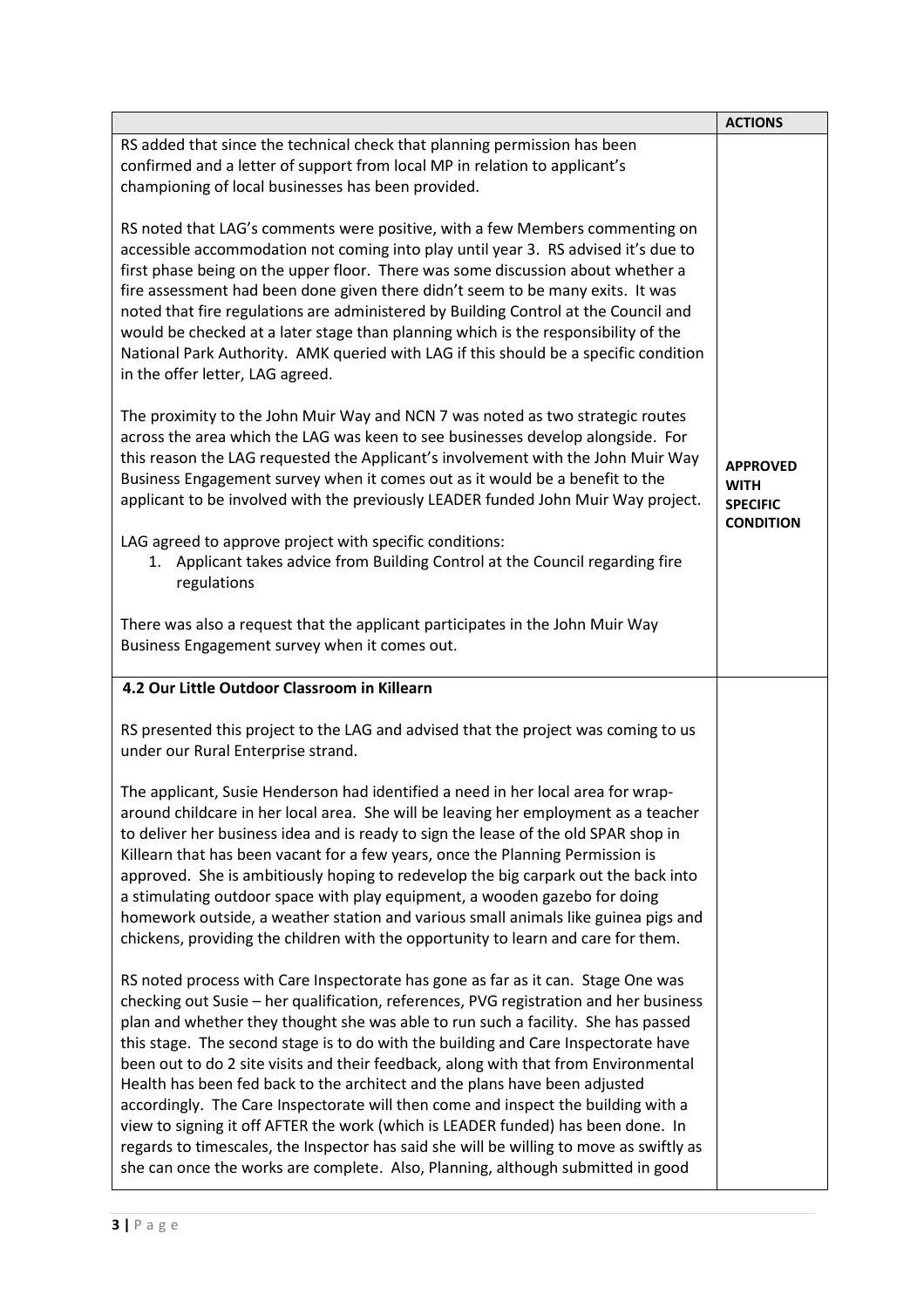|                                                                                                                                                                                                                                                                                                                                                                                                                                                                                                                                                                                                                                                                                                                                                                                                                                                                                  | <b>ACTIONS</b>                                                        |
|----------------------------------------------------------------------------------------------------------------------------------------------------------------------------------------------------------------------------------------------------------------------------------------------------------------------------------------------------------------------------------------------------------------------------------------------------------------------------------------------------------------------------------------------------------------------------------------------------------------------------------------------------------------------------------------------------------------------------------------------------------------------------------------------------------------------------------------------------------------------------------|-----------------------------------------------------------------------|
| RS added that since the technical check that planning permission has been<br>confirmed and a letter of support from local MP in relation to applicant's<br>championing of local businesses has been provided.                                                                                                                                                                                                                                                                                                                                                                                                                                                                                                                                                                                                                                                                    |                                                                       |
| RS noted that LAG's comments were positive, with a few Members commenting on<br>accessible accommodation not coming into play until year 3. RS advised it's due to<br>first phase being on the upper floor. There was some discussion about whether a<br>fire assessment had been done given there didn't seem to be many exits. It was<br>noted that fire regulations are administered by Building Control at the Council and<br>would be checked at a later stage than planning which is the responsibility of the<br>National Park Authority. AMK queried with LAG if this should be a specific condition<br>in the offer letter, LAG agreed.                                                                                                                                                                                                                                 |                                                                       |
| The proximity to the John Muir Way and NCN 7 was noted as two strategic routes<br>across the area which the LAG was keen to see businesses develop alongside. For<br>this reason the LAG requested the Applicant's involvement with the John Muir Way<br>Business Engagement survey when it comes out as it would be a benefit to the<br>applicant to be involved with the previously LEADER funded John Muir Way project.                                                                                                                                                                                                                                                                                                                                                                                                                                                       | <b>APPROVED</b><br><b>WITH</b><br><b>SPECIFIC</b><br><b>CONDITION</b> |
| LAG agreed to approve project with specific conditions:<br>1. Applicant takes advice from Building Control at the Council regarding fire<br>regulations                                                                                                                                                                                                                                                                                                                                                                                                                                                                                                                                                                                                                                                                                                                          |                                                                       |
| There was also a request that the applicant participates in the John Muir Way<br>Business Engagement survey when it comes out.                                                                                                                                                                                                                                                                                                                                                                                                                                                                                                                                                                                                                                                                                                                                                   |                                                                       |
| 4.2 Our Little Outdoor Classroom in Killearn                                                                                                                                                                                                                                                                                                                                                                                                                                                                                                                                                                                                                                                                                                                                                                                                                                     |                                                                       |
| RS presented this project to the LAG and advised that the project was coming to us<br>under our Rural Enterprise strand.                                                                                                                                                                                                                                                                                                                                                                                                                                                                                                                                                                                                                                                                                                                                                         |                                                                       |
| The applicant, Susie Henderson had identified a need in her local area for wrap-<br>around childcare in her local area. She will be leaving her employment as a teacher<br>to deliver her business idea and is ready to sign the lease of the old SPAR shop in<br>Killearn that has been vacant for a few years, once the Planning Permission is<br>approved. She is ambitiously hoping to redevelop the big carpark out the back into<br>a stimulating outdoor space with play equipment, a wooden gazebo for doing<br>homework outside, a weather station and various small animals like guinea pigs and<br>chickens, providing the children with the opportunity to learn and care for them.                                                                                                                                                                                  |                                                                       |
| RS noted process with Care Inspectorate has gone as far as it can. Stage One was<br>checking out Susie - her qualification, references, PVG registration and her business<br>plan and whether they thought she was able to run such a facility. She has passed<br>this stage. The second stage is to do with the building and Care Inspectorate have<br>been out to do 2 site visits and their feedback, along with that from Environmental<br>Health has been fed back to the architect and the plans have been adjusted<br>accordingly. The Care Inspectorate will then come and inspect the building with a<br>view to signing it off AFTER the work (which is LEADER funded) has been done. In<br>regards to timescales, the Inspector has said she will be willing to move as swiftly as<br>she can once the works are complete. Also, Planning, although submitted in good |                                                                       |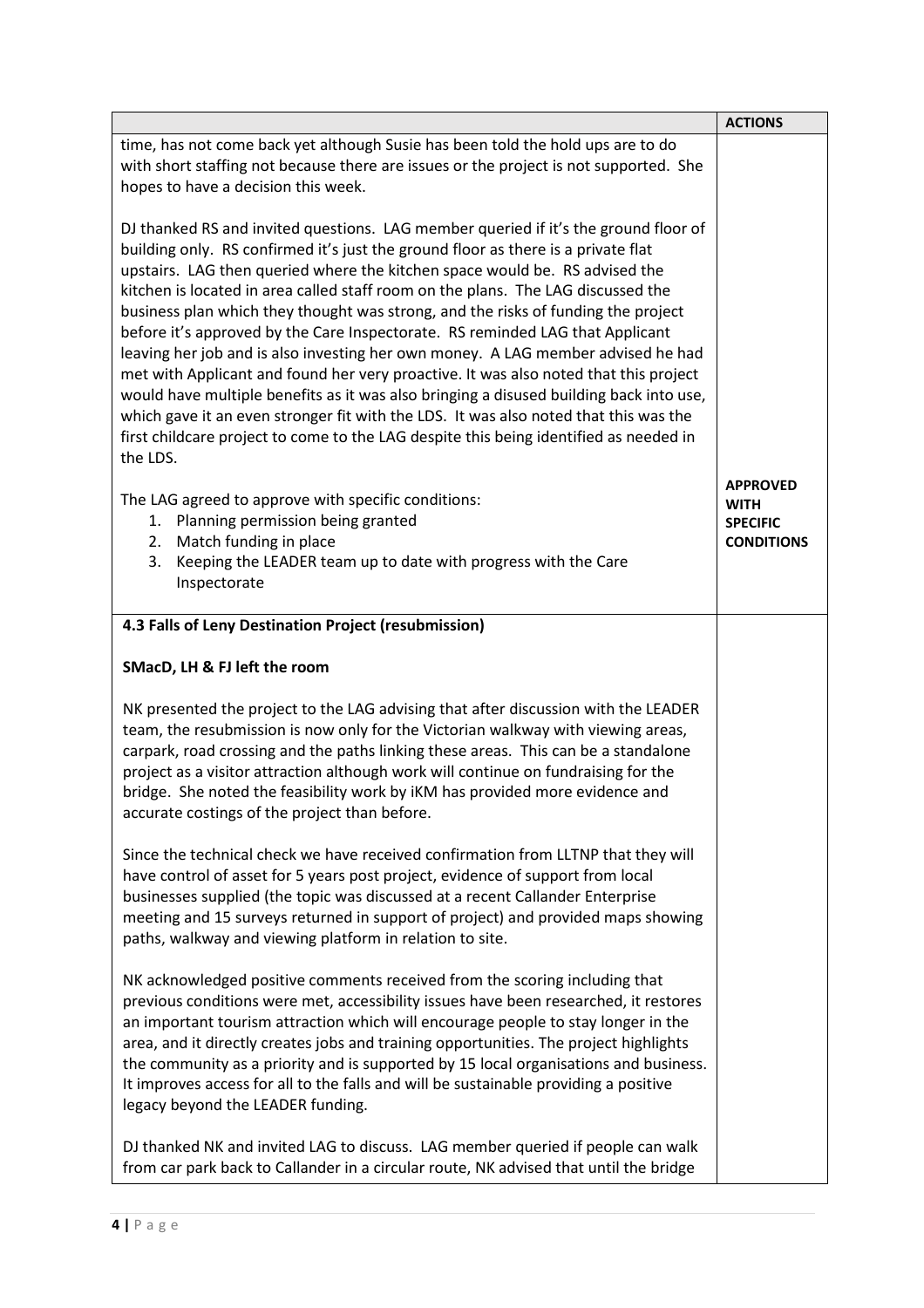|                                                                                                                                                                                                                                                                                                                                                                                                                                                                                                                                                                                                                                                                                                                                                                                                                                                                                                                                                                                      | <b>ACTIONS</b>                                                         |
|--------------------------------------------------------------------------------------------------------------------------------------------------------------------------------------------------------------------------------------------------------------------------------------------------------------------------------------------------------------------------------------------------------------------------------------------------------------------------------------------------------------------------------------------------------------------------------------------------------------------------------------------------------------------------------------------------------------------------------------------------------------------------------------------------------------------------------------------------------------------------------------------------------------------------------------------------------------------------------------|------------------------------------------------------------------------|
| time, has not come back yet although Susie has been told the hold ups are to do<br>with short staffing not because there are issues or the project is not supported. She<br>hopes to have a decision this week.                                                                                                                                                                                                                                                                                                                                                                                                                                                                                                                                                                                                                                                                                                                                                                      |                                                                        |
| DJ thanked RS and invited questions. LAG member queried if it's the ground floor of<br>building only. RS confirmed it's just the ground floor as there is a private flat<br>upstairs. LAG then queried where the kitchen space would be. RS advised the<br>kitchen is located in area called staff room on the plans. The LAG discussed the<br>business plan which they thought was strong, and the risks of funding the project<br>before it's approved by the Care Inspectorate. RS reminded LAG that Applicant<br>leaving her job and is also investing her own money. A LAG member advised he had<br>met with Applicant and found her very proactive. It was also noted that this project<br>would have multiple benefits as it was also bringing a disused building back into use,<br>which gave it an even stronger fit with the LDS. It was also noted that this was the<br>first childcare project to come to the LAG despite this being identified as needed in<br>the LDS. |                                                                        |
| The LAG agreed to approve with specific conditions:<br>Planning permission being granted<br>1.<br>Match funding in place<br>2.<br>Keeping the LEADER team up to date with progress with the Care<br>3.<br>Inspectorate                                                                                                                                                                                                                                                                                                                                                                                                                                                                                                                                                                                                                                                                                                                                                               | <b>APPROVED</b><br><b>WITH</b><br><b>SPECIFIC</b><br><b>CONDITIONS</b> |
|                                                                                                                                                                                                                                                                                                                                                                                                                                                                                                                                                                                                                                                                                                                                                                                                                                                                                                                                                                                      |                                                                        |
| 4.3 Falls of Leny Destination Project (resubmission)                                                                                                                                                                                                                                                                                                                                                                                                                                                                                                                                                                                                                                                                                                                                                                                                                                                                                                                                 |                                                                        |
| SMacD, LH & FJ left the room                                                                                                                                                                                                                                                                                                                                                                                                                                                                                                                                                                                                                                                                                                                                                                                                                                                                                                                                                         |                                                                        |
| NK presented the project to the LAG advising that after discussion with the LEADER<br>team, the resubmission is now only for the Victorian walkway with viewing areas,<br>carpark, road crossing and the paths linking these areas. This can be a standalone<br>project as a visitor attraction although work will continue on fundraising for the<br>bridge. She noted the feasibility work by iKM has provided more evidence and<br>accurate costings of the project than before.                                                                                                                                                                                                                                                                                                                                                                                                                                                                                                  |                                                                        |
| Since the technical check we have received confirmation from LLTNP that they will<br>have control of asset for 5 years post project, evidence of support from local<br>businesses supplied (the topic was discussed at a recent Callander Enterprise<br>meeting and 15 surveys returned in support of project) and provided maps showing<br>paths, walkway and viewing platform in relation to site.                                                                                                                                                                                                                                                                                                                                                                                                                                                                                                                                                                                 |                                                                        |
| NK acknowledged positive comments received from the scoring including that<br>previous conditions were met, accessibility issues have been researched, it restores<br>an important tourism attraction which will encourage people to stay longer in the<br>area, and it directly creates jobs and training opportunities. The project highlights<br>the community as a priority and is supported by 15 local organisations and business.<br>It improves access for all to the falls and will be sustainable providing a positive<br>legacy beyond the LEADER funding.                                                                                                                                                                                                                                                                                                                                                                                                                |                                                                        |
| DJ thanked NK and invited LAG to discuss. LAG member queried if people can walk<br>from car park back to Callander in a circular route, NK advised that until the bridge                                                                                                                                                                                                                                                                                                                                                                                                                                                                                                                                                                                                                                                                                                                                                                                                             |                                                                        |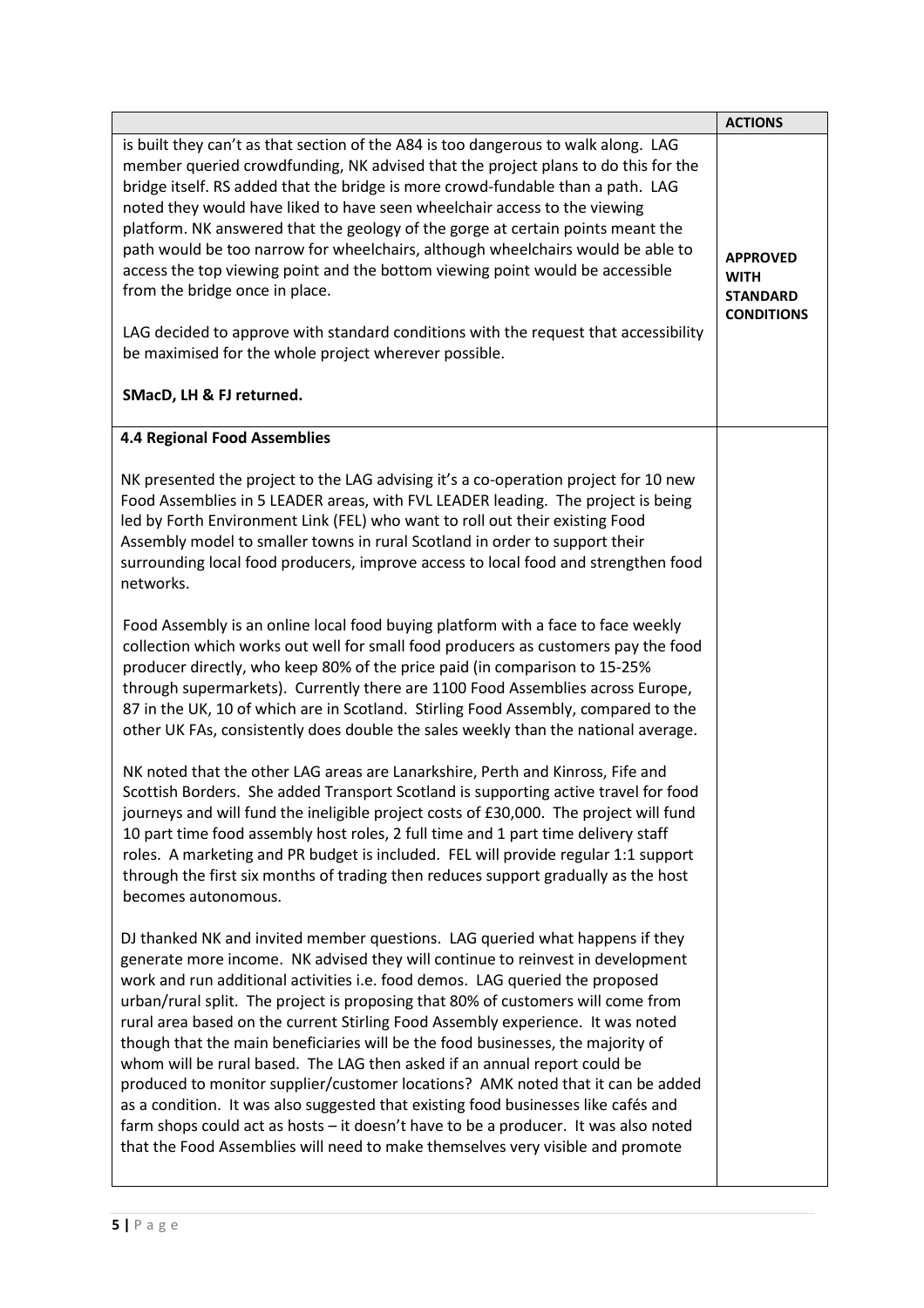|                                                                                                                                                                                                                                                                                                                                                                                                                                                                                                                                                                                                                                                                                                                                                                                                                                                                                                                                         | <b>ACTIONS</b>                                                         |
|-----------------------------------------------------------------------------------------------------------------------------------------------------------------------------------------------------------------------------------------------------------------------------------------------------------------------------------------------------------------------------------------------------------------------------------------------------------------------------------------------------------------------------------------------------------------------------------------------------------------------------------------------------------------------------------------------------------------------------------------------------------------------------------------------------------------------------------------------------------------------------------------------------------------------------------------|------------------------------------------------------------------------|
| is built they can't as that section of the A84 is too dangerous to walk along. LAG<br>member queried crowdfunding, NK advised that the project plans to do this for the<br>bridge itself. RS added that the bridge is more crowd-fundable than a path. LAG<br>noted they would have liked to have seen wheelchair access to the viewing<br>platform. NK answered that the geology of the gorge at certain points meant the<br>path would be too narrow for wheelchairs, although wheelchairs would be able to<br>access the top viewing point and the bottom viewing point would be accessible<br>from the bridge once in place.<br>LAG decided to approve with standard conditions with the request that accessibility<br>be maximised for the whole project wherever possible.<br>SMacD, LH & FJ returned.                                                                                                                            | <b>APPROVED</b><br><b>WITH</b><br><b>STANDARD</b><br><b>CONDITIONS</b> |
| <b>4.4 Regional Food Assemblies</b>                                                                                                                                                                                                                                                                                                                                                                                                                                                                                                                                                                                                                                                                                                                                                                                                                                                                                                     |                                                                        |
| NK presented the project to the LAG advising it's a co-operation project for 10 new<br>Food Assemblies in 5 LEADER areas, with FVL LEADER leading. The project is being<br>led by Forth Environment Link (FEL) who want to roll out their existing Food<br>Assembly model to smaller towns in rural Scotland in order to support their<br>surrounding local food producers, improve access to local food and strengthen food<br>networks.                                                                                                                                                                                                                                                                                                                                                                                                                                                                                               |                                                                        |
| Food Assembly is an online local food buying platform with a face to face weekly<br>collection which works out well for small food producers as customers pay the food<br>producer directly, who keep 80% of the price paid (in comparison to 15-25%<br>through supermarkets). Currently there are 1100 Food Assemblies across Europe,<br>87 in the UK, 10 of which are in Scotland. Stirling Food Assembly, compared to the<br>other UK FAs, consistently does double the sales weekly than the national average.                                                                                                                                                                                                                                                                                                                                                                                                                      |                                                                        |
| NK noted that the other LAG areas are Lanarkshire, Perth and Kinross, Fife and<br>Scottish Borders. She added Transport Scotland is supporting active travel for food<br>journeys and will fund the ineligible project costs of £30,000. The project will fund<br>10 part time food assembly host roles, 2 full time and 1 part time delivery staff<br>roles. A marketing and PR budget is included. FEL will provide regular 1:1 support<br>through the first six months of trading then reduces support gradually as the host<br>becomes autonomous.                                                                                                                                                                                                                                                                                                                                                                                  |                                                                        |
| DJ thanked NK and invited member questions. LAG queried what happens if they<br>generate more income. NK advised they will continue to reinvest in development<br>work and run additional activities i.e. food demos. LAG queried the proposed<br>urban/rural split. The project is proposing that 80% of customers will come from<br>rural area based on the current Stirling Food Assembly experience. It was noted<br>though that the main beneficiaries will be the food businesses, the majority of<br>whom will be rural based. The LAG then asked if an annual report could be<br>produced to monitor supplier/customer locations? AMK noted that it can be added<br>as a condition. It was also suggested that existing food businesses like cafés and<br>farm shops could act as hosts - it doesn't have to be a producer. It was also noted<br>that the Food Assemblies will need to make themselves very visible and promote |                                                                        |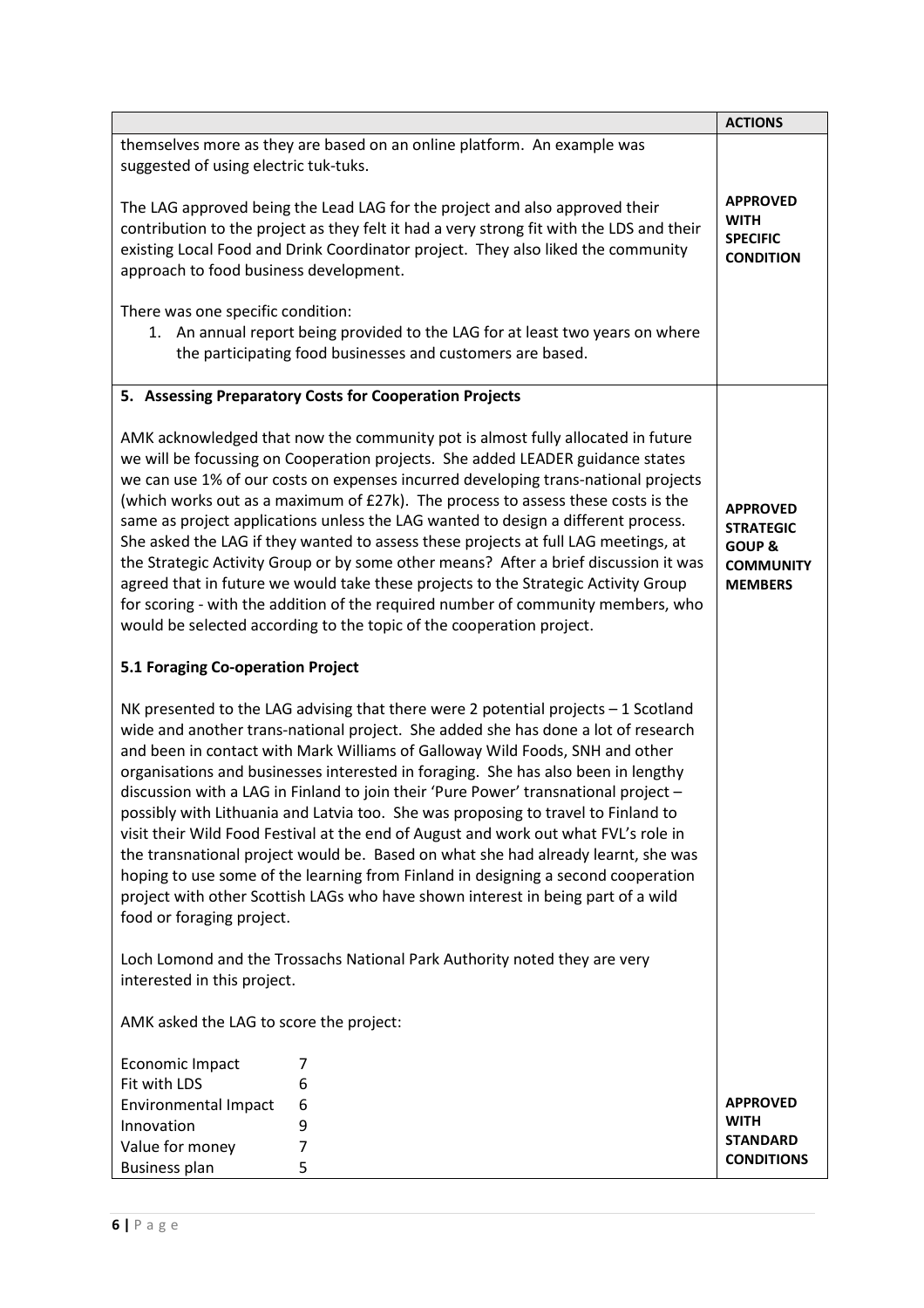|                                                                                                                                                                                                                                                                                                                                                                                                                                                                                                                                                                                                                                                                                                                                                                                                                                                                                                            | <b>ACTIONS</b>                                                                                 |
|------------------------------------------------------------------------------------------------------------------------------------------------------------------------------------------------------------------------------------------------------------------------------------------------------------------------------------------------------------------------------------------------------------------------------------------------------------------------------------------------------------------------------------------------------------------------------------------------------------------------------------------------------------------------------------------------------------------------------------------------------------------------------------------------------------------------------------------------------------------------------------------------------------|------------------------------------------------------------------------------------------------|
| themselves more as they are based on an online platform. An example was<br>suggested of using electric tuk-tuks.                                                                                                                                                                                                                                                                                                                                                                                                                                                                                                                                                                                                                                                                                                                                                                                           |                                                                                                |
| The LAG approved being the Lead LAG for the project and also approved their<br>contribution to the project as they felt it had a very strong fit with the LDS and their<br>existing Local Food and Drink Coordinator project. They also liked the community<br>approach to food business development.                                                                                                                                                                                                                                                                                                                                                                                                                                                                                                                                                                                                      | <b>APPROVED</b><br><b>WITH</b><br><b>SPECIFIC</b><br><b>CONDITION</b>                          |
| There was one specific condition:<br>1. An annual report being provided to the LAG for at least two years on where<br>the participating food businesses and customers are based.                                                                                                                                                                                                                                                                                                                                                                                                                                                                                                                                                                                                                                                                                                                           |                                                                                                |
| 5. Assessing Preparatory Costs for Cooperation Projects                                                                                                                                                                                                                                                                                                                                                                                                                                                                                                                                                                                                                                                                                                                                                                                                                                                    |                                                                                                |
| AMK acknowledged that now the community pot is almost fully allocated in future<br>we will be focussing on Cooperation projects. She added LEADER guidance states<br>we can use 1% of our costs on expenses incurred developing trans-national projects<br>(which works out as a maximum of £27k). The process to assess these costs is the<br>same as project applications unless the LAG wanted to design a different process.<br>She asked the LAG if they wanted to assess these projects at full LAG meetings, at<br>the Strategic Activity Group or by some other means? After a brief discussion it was<br>agreed that in future we would take these projects to the Strategic Activity Group<br>for scoring - with the addition of the required number of community members, who<br>would be selected according to the topic of the cooperation project.                                           | <b>APPROVED</b><br><b>STRATEGIC</b><br><b>GOUP &amp;</b><br><b>COMMUNITY</b><br><b>MEMBERS</b> |
| 5.1 Foraging Co-operation Project                                                                                                                                                                                                                                                                                                                                                                                                                                                                                                                                                                                                                                                                                                                                                                                                                                                                          |                                                                                                |
| NK presented to the LAG advising that there were 2 potential projects - 1 Scotland<br>wide and another trans-national project. She added she has done a lot of research<br>and been in contact with Mark Williams of Galloway Wild Foods, SNH and other<br>organisations and businesses interested in foraging. She has also been in lengthy<br>discussion with a LAG in Finland to join their 'Pure Power' transnational project -<br>possibly with Lithuania and Latvia too. She was proposing to travel to Finland to<br>visit their Wild Food Festival at the end of August and work out what FVL's role in<br>the transnational project would be. Based on what she had already learnt, she was<br>hoping to use some of the learning from Finland in designing a second cooperation<br>project with other Scottish LAGs who have shown interest in being part of a wild<br>food or foraging project. |                                                                                                |
| Loch Lomond and the Trossachs National Park Authority noted they are very<br>interested in this project.                                                                                                                                                                                                                                                                                                                                                                                                                                                                                                                                                                                                                                                                                                                                                                                                   |                                                                                                |
| AMK asked the LAG to score the project:                                                                                                                                                                                                                                                                                                                                                                                                                                                                                                                                                                                                                                                                                                                                                                                                                                                                    |                                                                                                |
| Economic Impact<br>7<br>Fit with LDS<br>6<br><b>Environmental Impact</b><br>6<br>Innovation<br>9<br>7<br>Value for money<br><b>Business plan</b><br>5                                                                                                                                                                                                                                                                                                                                                                                                                                                                                                                                                                                                                                                                                                                                                      | <b>APPROVED</b><br><b>WITH</b><br><b>STANDARD</b><br><b>CONDITIONS</b>                         |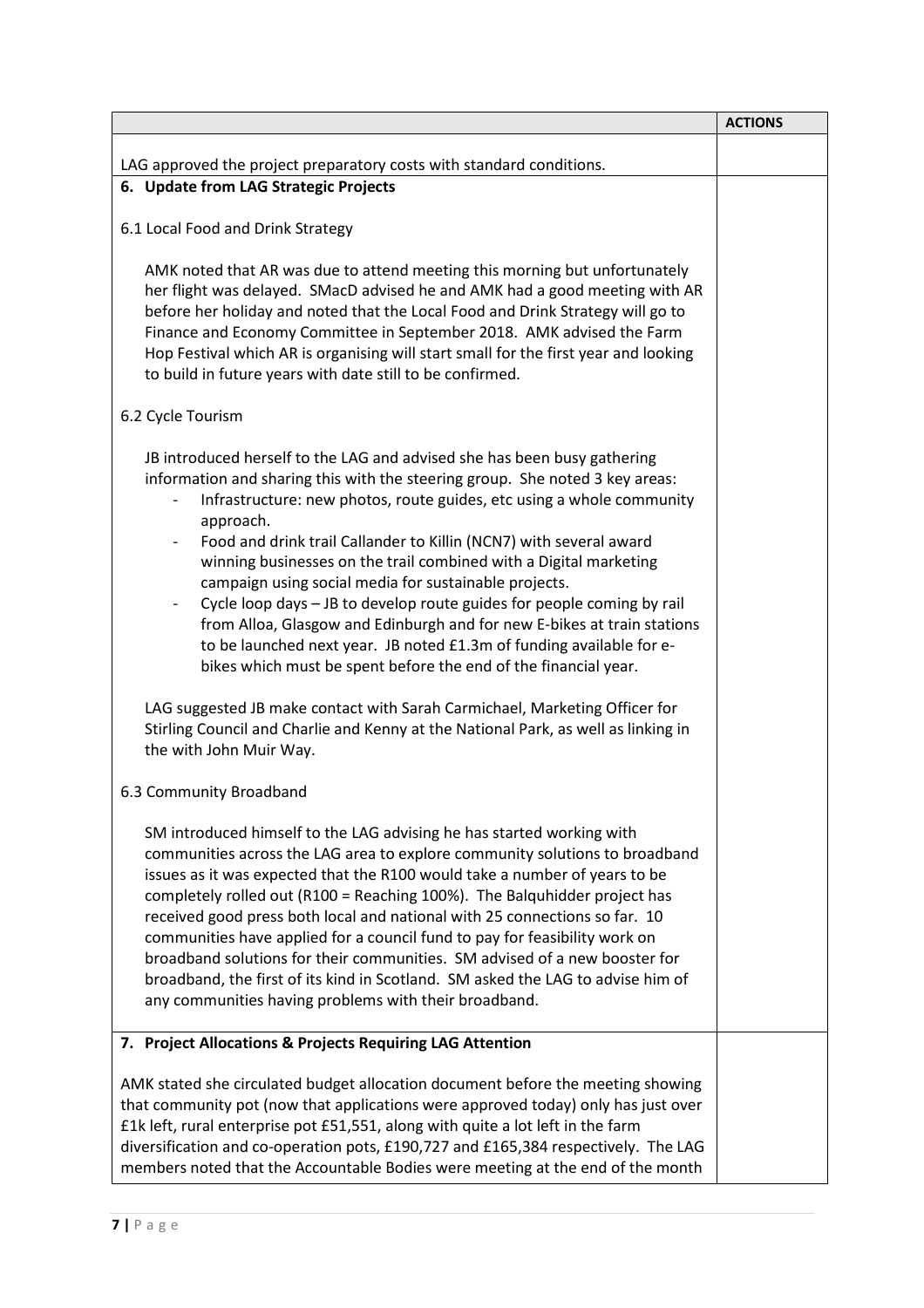|                                                                                                                                                                                                                                                                                                                                                                                                                                                                                                                                                                                                                                                                                                                                                                                                                                                                                                                                                   | <b>ACTIONS</b> |
|---------------------------------------------------------------------------------------------------------------------------------------------------------------------------------------------------------------------------------------------------------------------------------------------------------------------------------------------------------------------------------------------------------------------------------------------------------------------------------------------------------------------------------------------------------------------------------------------------------------------------------------------------------------------------------------------------------------------------------------------------------------------------------------------------------------------------------------------------------------------------------------------------------------------------------------------------|----------------|
| LAG approved the project preparatory costs with standard conditions.                                                                                                                                                                                                                                                                                                                                                                                                                                                                                                                                                                                                                                                                                                                                                                                                                                                                              |                |
| 6. Update from LAG Strategic Projects                                                                                                                                                                                                                                                                                                                                                                                                                                                                                                                                                                                                                                                                                                                                                                                                                                                                                                             |                |
| 6.1 Local Food and Drink Strategy                                                                                                                                                                                                                                                                                                                                                                                                                                                                                                                                                                                                                                                                                                                                                                                                                                                                                                                 |                |
| AMK noted that AR was due to attend meeting this morning but unfortunately<br>her flight was delayed. SMacD advised he and AMK had a good meeting with AR<br>before her holiday and noted that the Local Food and Drink Strategy will go to<br>Finance and Economy Committee in September 2018. AMK advised the Farm<br>Hop Festival which AR is organising will start small for the first year and looking<br>to build in future years with date still to be confirmed.                                                                                                                                                                                                                                                                                                                                                                                                                                                                          |                |
| 6.2 Cycle Tourism                                                                                                                                                                                                                                                                                                                                                                                                                                                                                                                                                                                                                                                                                                                                                                                                                                                                                                                                 |                |
| JB introduced herself to the LAG and advised she has been busy gathering<br>information and sharing this with the steering group. She noted 3 key areas:<br>Infrastructure: new photos, route guides, etc using a whole community<br>approach.<br>Food and drink trail Callander to Killin (NCN7) with several award<br>winning businesses on the trail combined with a Digital marketing<br>campaign using social media for sustainable projects.<br>Cycle loop days - JB to develop route guides for people coming by rail<br>from Alloa, Glasgow and Edinburgh and for new E-bikes at train stations<br>to be launched next year. JB noted £1.3m of funding available for e-<br>bikes which must be spent before the end of the financial year.<br>LAG suggested JB make contact with Sarah Carmichael, Marketing Officer for<br>Stirling Council and Charlie and Kenny at the National Park, as well as linking in<br>the with John Muir Way. |                |
| 6.3 Community Broadband                                                                                                                                                                                                                                                                                                                                                                                                                                                                                                                                                                                                                                                                                                                                                                                                                                                                                                                           |                |
| SM introduced himself to the LAG advising he has started working with<br>communities across the LAG area to explore community solutions to broadband<br>issues as it was expected that the R100 would take a number of years to be<br>completely rolled out (R100 = Reaching 100%). The Balquhidder project has<br>received good press both local and national with 25 connections so far. 10<br>communities have applied for a council fund to pay for feasibility work on<br>broadband solutions for their communities. SM advised of a new booster for<br>broadband, the first of its kind in Scotland. SM asked the LAG to advise him of<br>any communities having problems with their broadband.                                                                                                                                                                                                                                             |                |
| 7. Project Allocations & Projects Requiring LAG Attention                                                                                                                                                                                                                                                                                                                                                                                                                                                                                                                                                                                                                                                                                                                                                                                                                                                                                         |                |
| AMK stated she circulated budget allocation document before the meeting showing<br>that community pot (now that applications were approved today) only has just over<br>£1k left, rural enterprise pot £51,551, along with quite a lot left in the farm<br>diversification and co-operation pots, £190,727 and £165,384 respectively. The LAG<br>members noted that the Accountable Bodies were meeting at the end of the month                                                                                                                                                                                                                                                                                                                                                                                                                                                                                                                   |                |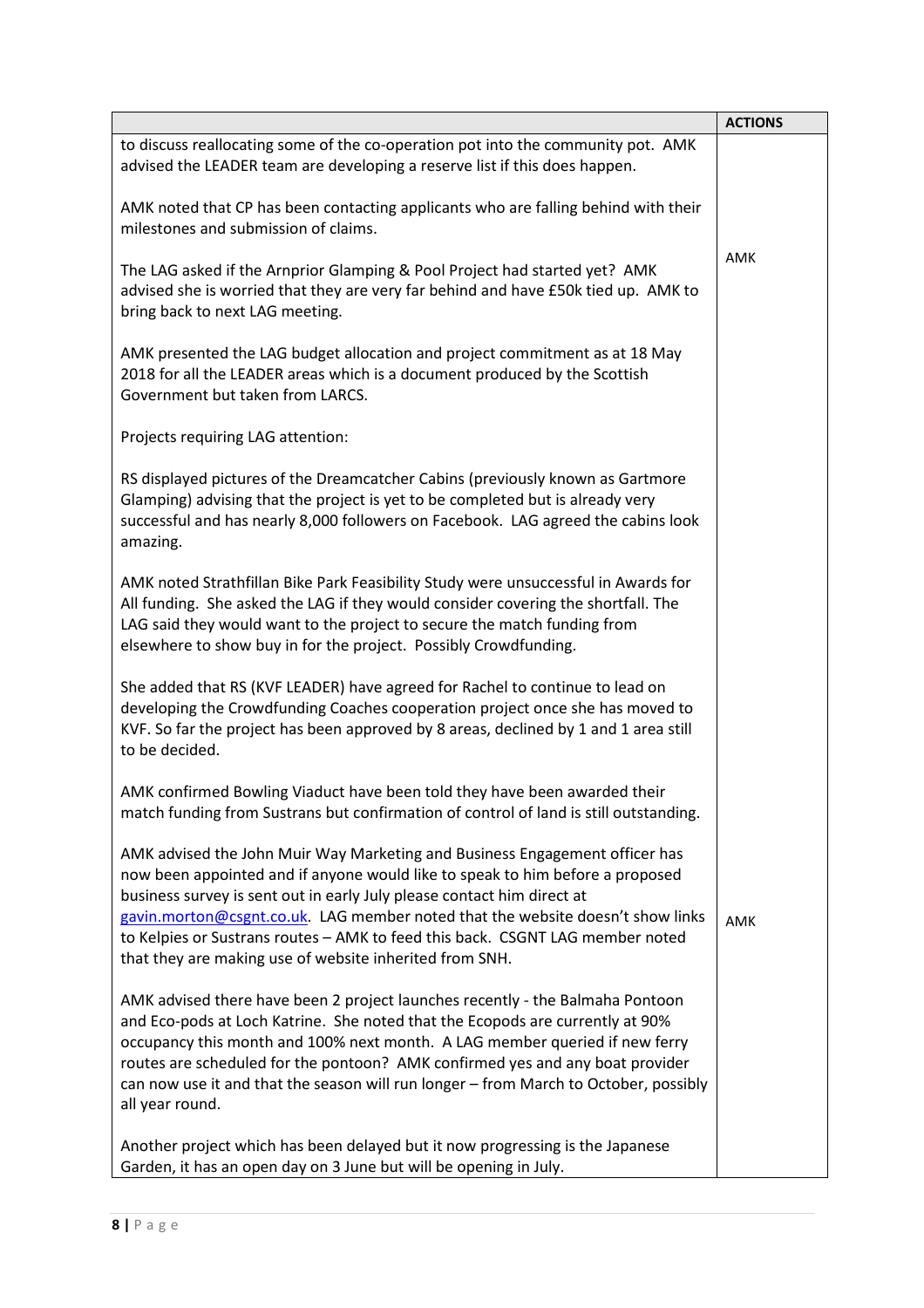|                                                                                                                                                                                                                                                                                                                                                                                                                                                                      | <b>ACTIONS</b> |
|----------------------------------------------------------------------------------------------------------------------------------------------------------------------------------------------------------------------------------------------------------------------------------------------------------------------------------------------------------------------------------------------------------------------------------------------------------------------|----------------|
| to discuss reallocating some of the co-operation pot into the community pot. AMK<br>advised the LEADER team are developing a reserve list if this does happen.                                                                                                                                                                                                                                                                                                       |                |
| AMK noted that CP has been contacting applicants who are falling behind with their<br>milestones and submission of claims.                                                                                                                                                                                                                                                                                                                                           |                |
| The LAG asked if the Arnprior Glamping & Pool Project had started yet? AMK<br>advised she is worried that they are very far behind and have £50k tied up. AMK to<br>bring back to next LAG meeting.                                                                                                                                                                                                                                                                  | AMK            |
| AMK presented the LAG budget allocation and project commitment as at 18 May<br>2018 for all the LEADER areas which is a document produced by the Scottish<br>Government but taken from LARCS.                                                                                                                                                                                                                                                                        |                |
| Projects requiring LAG attention:                                                                                                                                                                                                                                                                                                                                                                                                                                    |                |
| RS displayed pictures of the Dreamcatcher Cabins (previously known as Gartmore<br>Glamping) advising that the project is yet to be completed but is already very<br>successful and has nearly 8,000 followers on Facebook. LAG agreed the cabins look<br>amazing.                                                                                                                                                                                                    |                |
| AMK noted Strathfillan Bike Park Feasibility Study were unsuccessful in Awards for<br>All funding. She asked the LAG if they would consider covering the shortfall. The<br>LAG said they would want to the project to secure the match funding from<br>elsewhere to show buy in for the project. Possibly Crowdfunding.                                                                                                                                              |                |
| She added that RS (KVF LEADER) have agreed for Rachel to continue to lead on<br>developing the Crowdfunding Coaches cooperation project once she has moved to<br>KVF. So far the project has been approved by 8 areas, declined by 1 and 1 area still<br>to be decided.                                                                                                                                                                                              |                |
| AMK confirmed Bowling Viaduct have been told they have been awarded their<br>match funding from Sustrans but confirmation of control of land is still outstanding.                                                                                                                                                                                                                                                                                                   |                |
| AMK advised the John Muir Way Marketing and Business Engagement officer has<br>now been appointed and if anyone would like to speak to him before a proposed<br>business survey is sent out in early July please contact him direct at<br>gavin.morton@csgnt.co.uk. LAG member noted that the website doesn't show links<br>to Kelpies or Sustrans routes - AMK to feed this back. CSGNT LAG member noted<br>that they are making use of website inherited from SNH. | AMK            |
| AMK advised there have been 2 project launches recently - the Balmaha Pontoon<br>and Eco-pods at Loch Katrine. She noted that the Ecopods are currently at 90%<br>occupancy this month and 100% next month. A LAG member queried if new ferry<br>routes are scheduled for the pontoon? AMK confirmed yes and any boat provider<br>can now use it and that the season will run longer - from March to October, possibly<br>all year round.                            |                |
| Another project which has been delayed but it now progressing is the Japanese<br>Garden, it has an open day on 3 June but will be opening in July.                                                                                                                                                                                                                                                                                                                   |                |